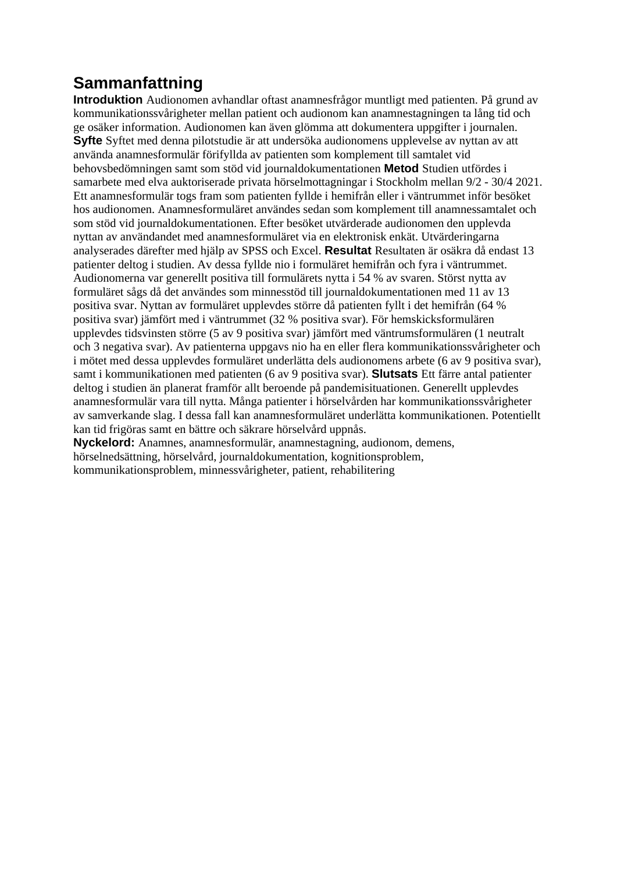## **Sammanfattning**

**Introduktion** Audionomen avhandlar oftast anamnesfrågor muntligt med patienten. På grund av kommunikationssvårigheter mellan patient och audionom kan anamnestagningen ta lång tid och ge osäker information. Audionomen kan även glömma att dokumentera uppgifter i journalen. **Syfte** Syftet med denna pilotstudie är att undersöka audionomens upplevelse av nyttan av att använda anamnesformulär förifyllda av patienten som komplement till samtalet vid behovsbedömningen samt som stöd vid journaldokumentationen **Metod** Studien utfördes i samarbete med elva auktoriserade privata hörselmottagningar i Stockholm mellan 9/2 - 30/4 2021. Ett anamnesformulär togs fram som patienten fyllde i hemifrån eller i väntrummet inför besöket hos audionomen. Anamnesformuläret användes sedan som komplement till anamnessamtalet och som stöd vid journaldokumentationen. Efter besöket utvärderade audionomen den upplevda nyttan av användandet med anamnesformuläret via en elektronisk enkät. Utvärderingarna analyserades därefter med hjälp av SPSS och Excel. **Resultat** Resultaten är osäkra då endast 13 patienter deltog i studien. Av dessa fyllde nio i formuläret hemifrån och fyra i väntrummet. Audionomerna var generellt positiva till formulärets nytta i 54 % av svaren. Störst nytta av formuläret sågs då det användes som minnesstöd till journaldokumentationen med 11 av 13 positiva svar. Nyttan av formuläret upplevdes större då patienten fyllt i det hemifrån (64 % positiva svar) jämfört med i väntrummet (32 % positiva svar). För hemskicksformulären upplevdes tidsvinsten större (5 av 9 positiva svar) jämfört med väntrumsformulären (1 neutralt och 3 negativa svar). Av patienterna uppgavs nio ha en eller flera kommunikationssvårigheter och i mötet med dessa upplevdes formuläret underlätta dels audionomens arbete (6 av 9 positiva svar), samt i kommunikationen med patienten (6 av 9 positiva svar). **Slutsats** Ett färre antal patienter deltog i studien än planerat framför allt beroende på pandemisituationen. Generellt upplevdes anamnesformulär vara till nytta. Många patienter i hörselvården har kommunikationssvårigheter av samverkande slag. I dessa fall kan anamnesformuläret underlätta kommunikationen. Potentiellt kan tid frigöras samt en bättre och säkrare hörselvård uppnås.

**Nyckelord:** Anamnes, anamnesformulär, anamnestagning, audionom, demens, hörselnedsättning, hörselvård, journaldokumentation, kognitionsproblem, kommunikationsproblem, minnessvårigheter, patient, rehabilitering